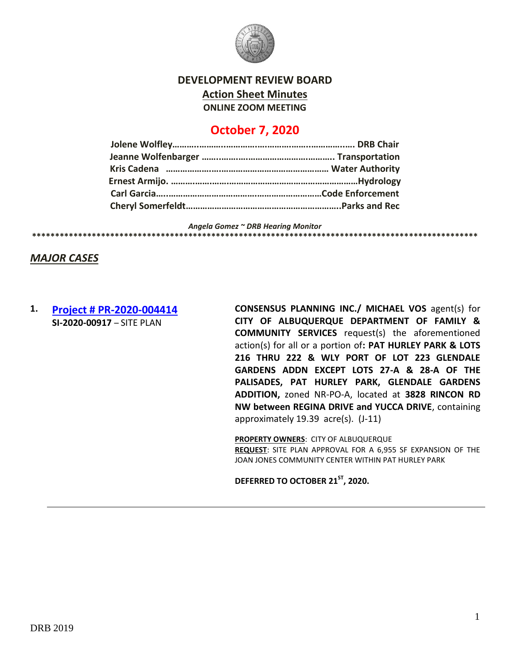

**DEVELOPMENT REVIEW BOARD**

**Action Sheet Minutes**

**ONLINE ZOOM MEETING**

# **October 7, 2020**

*Angela Gomez ~ DRB Hearing Monitor*

**\*\*\*\*\*\*\*\*\*\*\*\*\*\*\*\*\*\*\*\*\*\*\*\*\*\*\*\*\*\*\*\*\*\*\*\*\*\*\*\*\*\*\*\*\*\*\*\*\*\*\*\*\*\*\*\*\*\*\*\*\*\*\*\*\*\*\*\*\*\*\*\*\*\*\*\*\*\*\*\*\*\*\*\*\*\*\*\*\*\*\*\*\*\*\*\*\***

*MAJOR CASES*

# **1. [Project # PR-2020-004414](http://data.cabq.gov/government/planning/DRB/PR-2020-004414/DRB%20Submittals/PR-2020-004414_Oct_07_2020/Application/) SI-2020-00917** – SITE PLAN

**CONSENSUS PLANNING INC./ MICHAEL VOS** agent(s) for **CITY OF ALBUQUERQUE DEPARTMENT OF FAMILY & COMMUNITY SERVICES** request(s) the aforementioned action(s) for all or a portion of**: PAT HURLEY PARK & LOTS 216 THRU 222 & WLY PORT OF LOT 223 GLENDALE GARDENS ADDN EXCEPT LOTS 27-A & 28-A OF THE PALISADES, PAT HURLEY PARK, GLENDALE GARDENS ADDITION,** zoned NR-PO-A, located at **3828 RINCON RD NW between REGINA DRIVE and YUCCA DRIVE**, containing approximately 19.39 acre(s). (J-11)

**PROPERTY OWNERS**: CITY OF ALBUQUERQUE **REQUEST**: SITE PLAN APPROVAL FOR A 6,955 SF EXPANSION OF THE JOAN JONES COMMUNITY CENTER WITHIN PAT HURLEY PARK

**DEFERRED TO OCTOBER 21ST, 2020.**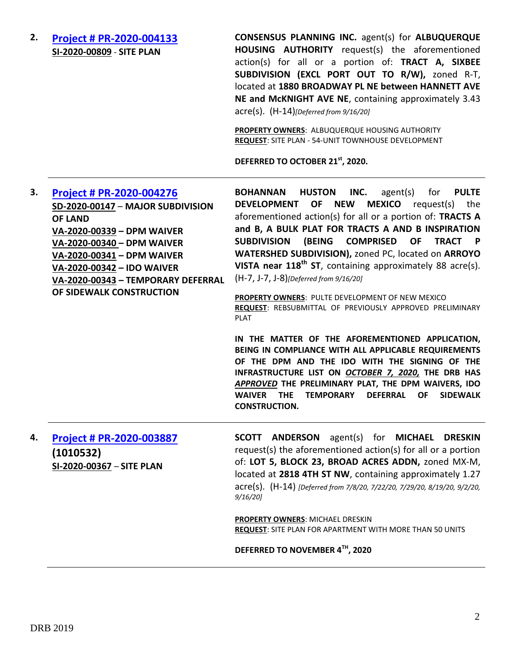# **2. [Project # PR-2020-004133](http://data.cabq.gov/government/planning/DRB/PR-2020-004133/DRB%20Submittals/PR-2020-004133_Sept_16_2020/Application/AHA%201880%20Broadway%20Site%20Plan%20DRB%20Application.pdf) SI-2020-00809** - **SITE PLAN**

**CONSENSUS PLANNING INC.** agent(s) for **ALBUQUERQUE HOUSING AUTHORITY** request(s) the aforementioned action(s) for all or a portion of: **TRACT A, SIXBEE SUBDIVISION (EXCL PORT OUT TO R/W),** zoned R-T, located at **1880 BROADWAY PL NE between HANNETT AVE NE and McKNIGHT AVE NE**, containing approximately 3.43 acre(s). (H-14)*[Deferred from 9/16/20]*

**PROPERTY OWNERS**: ALBUQUERQUE HOUSING AUTHORITY **REQUEST**: SITE PLAN - 54-UNIT TOWNHOUSE DEVELOPMENT

**DEFERRED TO OCTOBER 21st, 2020.**

#### **3. [Project # PR-2020-004276](http://data.cabq.gov/government/planning/DRB/PR-2020-004276/DRB%20Submittals/PR-2020-004276_Sept_16_2020/New%20Inspiration%20Preliminary%20Plat%20Electronic%20Submittal.pdf) SD-2020-00147** – **MAJOR SUBDIVISION OF LAND VA-2020-00339 – DPM WAIVER VA-2020-00340 – DPM WAIVER VA-2020-00341 – DPM WAIVER VA-2020-00342 – IDO WAIVER VA-2020-00343 – TEMPORARY DEFERRAL OF SIDEWALK CONSTRUCTION BOHANNAN HUSTON INC.** agent(s) for **PULTE DEVELOPMENT OF NEW MEXICO** request(s) the aforementioned action(s) for all or a portion of: **TRACTS A and B, A BULK PLAT FOR TRACTS A AND B INSPIRATION**  SUBDIVISION (BEING COMPRISED OF TRACT **WATERSHED SUBDIVISION),** zoned PC, located on **ARROYO VISTA near 118th ST**, containing approximately 88 acre(s). (H-7, J-7, J-8)*[Deferred from 9/16/20]* **PROPERTY OWNERS**: PULTE DEVELOPMENT OF NEW MEXICO **REQUEST**: REBSUBMITTAL OF PREVIOUSLY APPROVED PRELIMINARY PLAT **IN THE MATTER OF THE AFOREMENTIONED APPLICATION, BEING IN COMPLIANCE WITH ALL APPLICABLE REQUIREMENTS OF THE DPM AND THE IDO WITH THE SIGNING OF THE INFRASTRUCTURE LIST ON** *OCTOBER 7, 2020,* **THE DRB HAS**

*APPROVED* **THE PRELIMINARY PLAT, THE DPM WAIVERS, IDO WAIVER THE TEMPORARY DEFERRAL OF SIDEWALK CONSTRUCTION.**

**4. [Project # PR-2020-003887](http://data.cabq.gov/government/planning/DRB/PR-2020-003887/DRB%20Submittals/PR-2020-003887_Jul_29_2020_Supp/) (1010532) SI-2020-00367** – **SITE PLAN**

**SCOTT ANDERSON** agent(s) for **MICHAEL DRESKIN** request(s) the aforementioned action(s) for all or a portion of: **LOT 5, BLOCK 23, BROAD ACRES ADDN,** zoned MX-M, located at **2818 4TH ST NW**, containing approximately 1.27 acre(s). (H-14) *[Deferred from 7/8/20, 7/22/20, 7/29/20, 8/19/20, 9/2/20, 9/16/20]*

**PROPERTY OWNERS**: MICHAEL DRESKIN **REQUEST**: SITE PLAN FOR APARTMENT WITH MORE THAN 50 UNITS

**DEFERRED TO NOVEMBER 4TH, 2020**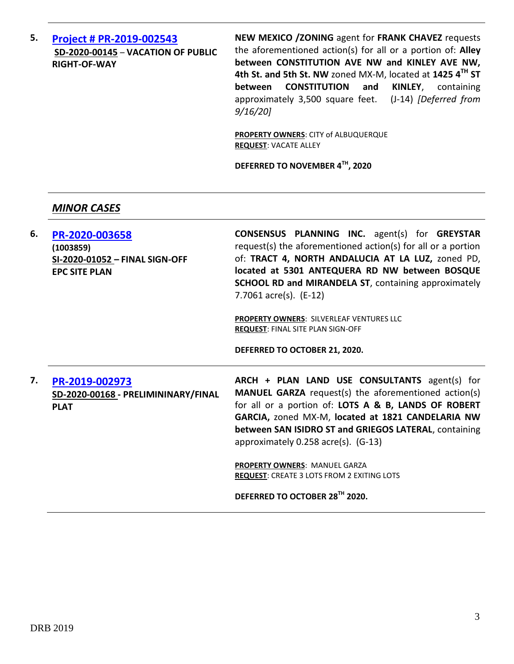**5. [Project # PR-2019-002543](http://data.cabq.gov/government/planning/DRB/PR-2019-002543/DRB%20Submittals/PR-2019-002543_Sep_16_2020/Application/DRB%20VPE%20NM%20ZONING%20PR-2020-002543%20SD-2020-00145%20signed%20copy.pdf) SD-2020-00145** – **VACATION OF PUBLIC RIGHT-OF-WAY**

**NEW MEXICO /ZONING** agent for **FRANK CHAVEZ** requests the aforementioned action(s) for all or a portion of: **Alley between CONSTITUTION AVE NW and KINLEY AVE NW, 4th St. and 5th St. NW** zoned MX-M, located at **1425 4TH ST between CONSTITUTION and KINLEY**, containing approximately 3,500 square feet. (J-14) *[Deferred from 9/16/20]*

**PROPERTY OWNERS**: CITY of ALBUQUERQUE **REQUEST**: VACATE ALLEY

**DEFERRED TO NOVEMBER 4TH, 2020**

### *MINOR CASES*

| 6. | PR-2020-003658<br>(1003859)<br>SI-2020-01052 - FINAL SIGN-OFF<br><b>EPC SITE PLAN</b> | <b>CONSENSUS PLANNING INC.</b> agent(s) for <b>GREYSTAR</b><br>request(s) the aforementioned action(s) for all or a portion<br>of: TRACT 4, NORTH ANDALUCIA AT LA LUZ, zoned PD,<br>located at 5301 ANTEQUERA RD NW between BOSQUE<br><b>SCHOOL RD and MIRANDELA ST, containing approximately</b><br>7.7061 $\arccos 1$ (E-12) |
|----|---------------------------------------------------------------------------------------|--------------------------------------------------------------------------------------------------------------------------------------------------------------------------------------------------------------------------------------------------------------------------------------------------------------------------------|
|    |                                                                                       | PROPERTY OWNERS: SILVERLEAF VENTURES LLC<br><b>REQUEST: FINAL SITE PLAN SIGN-OFF</b>                                                                                                                                                                                                                                           |
|    |                                                                                       | DEFERRED TO OCTOBER 21, 2020.                                                                                                                                                                                                                                                                                                  |
|    |                                                                                       |                                                                                                                                                                                                                                                                                                                                |
| 7. | PR-2019-002973<br>SD-2020-00168 - PRELIMININARY/FINAL<br><b>PLAT</b>                  | ARCH + PLAN LAND USE CONSULTANTS agent(s) for<br><b>MANUEL GARZA</b> request(s) the aforementioned action(s)<br>for all or a portion of: LOTS A & B, LANDS OF ROBERT<br>GARCIA, zoned MX-M, located at 1821 CANDELARIA NW<br>between SAN ISIDRO ST and GRIEGOS LATERAL, containing<br>approximately 0.258 acre(s). (G-13)      |
|    |                                                                                       | PROPERTY OWNERS: MANUEL GARZA<br><b>REQUEST: CREATE 3 LOTS FROM 2 EXITING LOTS</b>                                                                                                                                                                                                                                             |